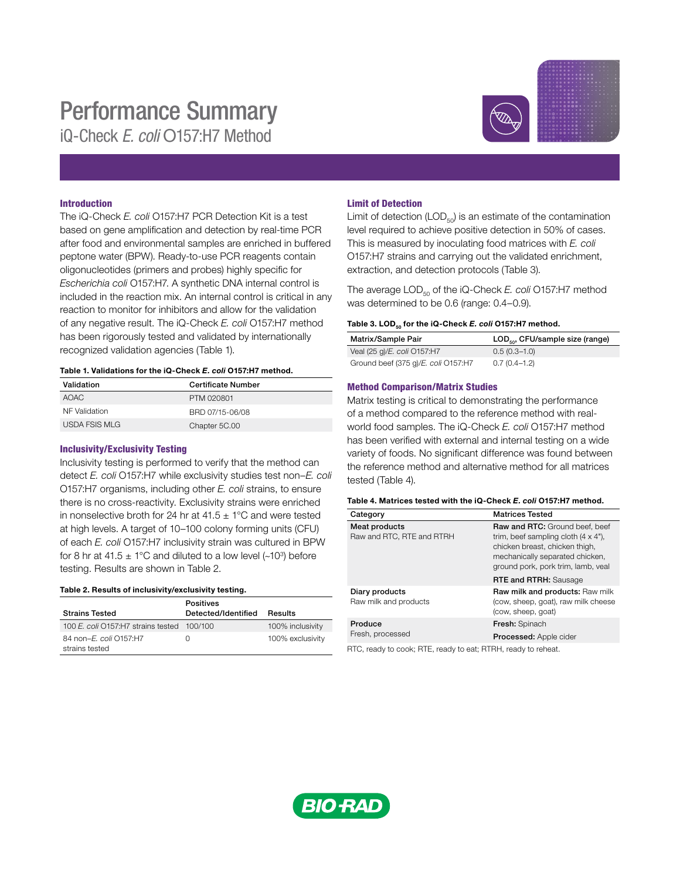# Performance Summary

iQ-Check *E. coli* O157:H7 Method



# Introduction

The iQ-Check *E. coli* O157:H7 PCR Detection Kit is a test based on gene amplification and detection by real-time PCR after food and environmental samples are enriched in buffered peptone water (BPW). Ready-to-use PCR reagents contain oligonucleotides (primers and probes) highly specific for *Escherichia coli* O157:H7. A synthetic DNA internal control is included in the reaction mix. An internal control is critical in any reaction to monitor for inhibitors and allow for the validation of any negative result. The iQ-Check *E. coli* O157:H7 method has been rigorously tested and validated by internationally recognized validation agencies (Table 1).

### Table 1. Validations for the iQ-Check *E. coli* O157:H7 method.

| Validation    | <b>Certificate Number</b> |
|---------------|---------------------------|
| AOAC          | PTM 020801                |
| NF Validation | BRD 07/15-06/08           |
| USDA FSIS MLG | Chapter 5C.00             |

## Inclusivity/Exclusivity Testing

Inclusivity testing is performed to verify that the method can detect *E. coli* O157:H7 while exclusivity studies test non–*E. coli*  O157:H7 organisms, including other *E. coli* strains, to ensure there is no cross-reactivity. Exclusivity strains were enriched in nonselective broth for 24 hr at  $41.5 \pm 1^{\circ}$ C and were tested at high levels. A target of 10–100 colony forming units (CFU) of each *E. coli* O157:H7 inclusivity strain was cultured in BPW for 8 hr at 41.5  $\pm$  1°C and diluted to a low level (~10<sup>3</sup>) before testing. Results are shown in Table 2.

#### Table 2. Results of inclusivity/exclusivity testing.

|                                            | <b>Positives</b>    |                  |
|--------------------------------------------|---------------------|------------------|
| <b>Strains Tested</b>                      | Detected/Identified | Results          |
| 100 E. coli O157:H7 strains tested 100/100 |                     | 100% inclusivity |
| 84 non-E. coli 0157:H7<br>strains tested   |                     | 100% exclusivity |

# Limit of Detection

Limit of detection (LOD $_{50}$ ) is an estimate of the contamination level required to achieve positive detection in 50% of cases. This is measured by inoculating food matrices with *E. coli* O157:H7 strains and carrying out the validated enrichment, extraction, and detection protocols (Table 3).

The average LOD<sub>50</sub> of the iQ-Check *E. coli* O157:H7 method was determined to be 0.6 (range: 0.4–0.9).

#### Table 3. LOD<sub>50</sub> for the iQ-Check *E. coli* O157:H7 method.

| Matrix/Sample Pair                  | $\mathsf{LOD}_{\mathsf{so}}$ , CFU/sample size (range) |
|-------------------------------------|--------------------------------------------------------|
| Veal (25 g)/ <i>E. coli</i> O157:H7 | $0.5(0.3-1.0)$                                         |
| Ground beef (375 g)/E. coli O157:H7 | $0.7(0.4-1.2)$                                         |

# Method Comparison/Matrix Studies

Matrix testing is critical to demonstrating the performance of a method compared to the reference method with realworld food samples. The iQ-Check *E. coli* O157:H7 method has been verified with external and internal testing on a wide variety of foods. No significant difference was found between the reference method and alternative method for all matrices tested (Table 4).

#### Table 4. Matrices tested with the iQ-Check *E. coli* O157:H7 method.

| Category                                   | <b>Matrices Tested</b>                                                                                                                                                                  |  |
|--------------------------------------------|-----------------------------------------------------------------------------------------------------------------------------------------------------------------------------------------|--|
| Meat products<br>Raw and RTC, RTE and RTRH | Raw and RTC: Ground beef, beef<br>trim, beef sampling cloth $(4 \times 4)$ ,<br>chicken breast, chicken thigh,<br>mechanically separated chicken,<br>ground pork, pork trim, lamb, veal |  |
|                                            | <b>RTE and RTRH:</b> Sausage                                                                                                                                                            |  |
| Diary products<br>Raw milk and products    | Raw milk and products: Raw milk<br>(cow, sheep, goat), raw milk cheese<br>(cow, sheep, goat)                                                                                            |  |
| Produce<br>Fresh, processed                | Fresh: Spinach                                                                                                                                                                          |  |
|                                            | Processed: Apple cider                                                                                                                                                                  |  |
|                                            |                                                                                                                                                                                         |  |

RTC, ready to cook; RTE, ready to eat; RTRH, ready to reheat.